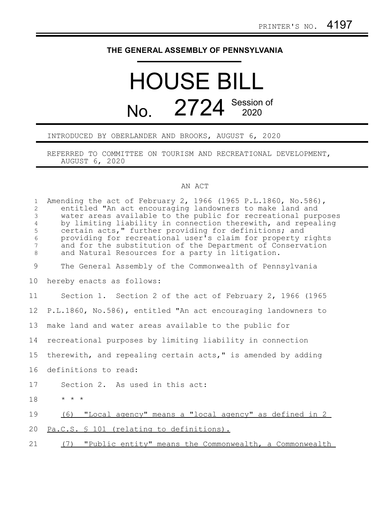## **THE GENERAL ASSEMBLY OF PENNSYLVANIA**

## HOUSE BILL No. 2724 Session of

## INTRODUCED BY OBERLANDER AND BROOKS, AUGUST 6, 2020

REFERRED TO COMMITTEE ON TOURISM AND RECREATIONAL DEVELOPMENT, AUGUST 6, 2020

## AN ACT

| $\mathbf{1}$<br>$\overline{c}$<br>3<br>$\overline{4}$<br>5<br>6<br>7<br>$\,8\,$ | Amending the act of February 2, 1966 (1965 P.L.1860, No.586),<br>entitled "An act encouraging landowners to make land and<br>water areas available to the public for recreational purposes<br>by limiting liability in connection therewith, and repealing<br>certain acts," further providing for definitions; and<br>providing for recreational user's claim for property rights<br>and for the substitution of the Department of Conservation<br>and Natural Resources for a party in litigation. |
|---------------------------------------------------------------------------------|------------------------------------------------------------------------------------------------------------------------------------------------------------------------------------------------------------------------------------------------------------------------------------------------------------------------------------------------------------------------------------------------------------------------------------------------------------------------------------------------------|
| 9                                                                               | The General Assembly of the Commonwealth of Pennsylvania                                                                                                                                                                                                                                                                                                                                                                                                                                             |
| 10                                                                              | hereby enacts as follows:                                                                                                                                                                                                                                                                                                                                                                                                                                                                            |
| 11                                                                              | Section 1. Section 2 of the act of February 2, 1966 (1965)                                                                                                                                                                                                                                                                                                                                                                                                                                           |
| 12                                                                              | P.L.1860, No.586), entitled "An act encouraging landowners to                                                                                                                                                                                                                                                                                                                                                                                                                                        |
| 13                                                                              | make land and water areas available to the public for                                                                                                                                                                                                                                                                                                                                                                                                                                                |
| 14                                                                              | recreational purposes by limiting liability in connection                                                                                                                                                                                                                                                                                                                                                                                                                                            |
| 15                                                                              | therewith, and repealing certain acts," is amended by adding                                                                                                                                                                                                                                                                                                                                                                                                                                         |
| 16                                                                              | definitions to read:                                                                                                                                                                                                                                                                                                                                                                                                                                                                                 |
| 17                                                                              | Section 2. As used in this act:                                                                                                                                                                                                                                                                                                                                                                                                                                                                      |
| 18                                                                              | $\star$ $\star$ $\star$                                                                                                                                                                                                                                                                                                                                                                                                                                                                              |
| 19                                                                              | (6) "Local agency" means a "local agency" as defined in 2                                                                                                                                                                                                                                                                                                                                                                                                                                            |
| 20                                                                              | Pa.C.S. § 101 (relating to definitions).                                                                                                                                                                                                                                                                                                                                                                                                                                                             |
| 21                                                                              | "Public entity" means the Commonwealth, a Commonwealth<br>(7)                                                                                                                                                                                                                                                                                                                                                                                                                                        |